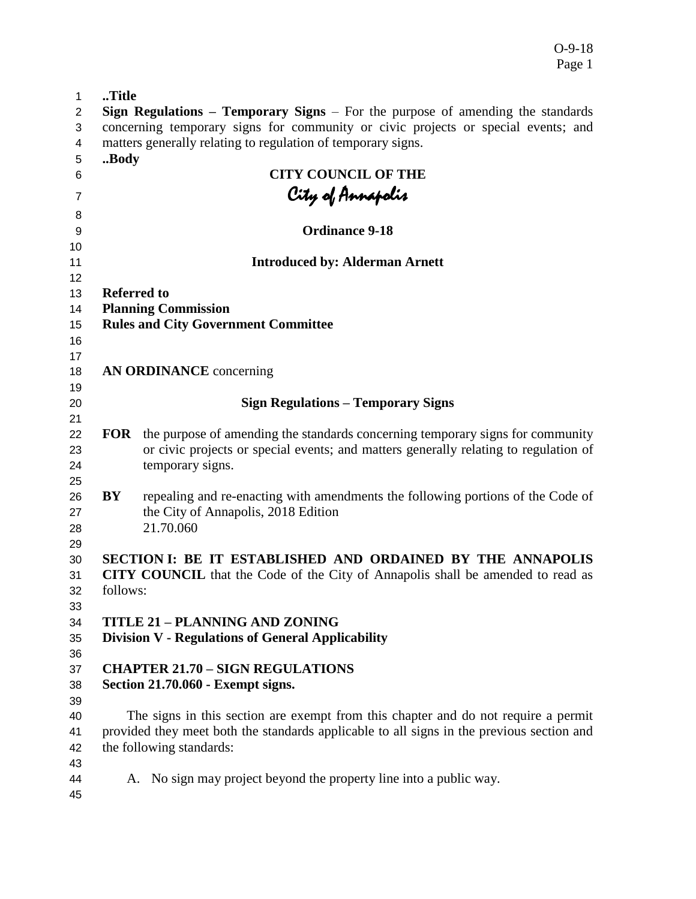O-9-18 Page 1

| 1                          | Title                                                                             |                                                                                                                                                                                            |  |  |  |
|----------------------------|-----------------------------------------------------------------------------------|--------------------------------------------------------------------------------------------------------------------------------------------------------------------------------------------|--|--|--|
| 2                          |                                                                                   | <b>Sign Regulations – Temporary Signs –</b> For the purpose of amending the standards                                                                                                      |  |  |  |
| 3                          | concerning temporary signs for community or civic projects or special events; and |                                                                                                                                                                                            |  |  |  |
| 4                          |                                                                                   | matters generally relating to regulation of temporary signs.                                                                                                                               |  |  |  |
| 5                          | Body                                                                              |                                                                                                                                                                                            |  |  |  |
| 6                          |                                                                                   | <b>CITY COUNCIL OF THE</b>                                                                                                                                                                 |  |  |  |
| 7                          |                                                                                   |                                                                                                                                                                                            |  |  |  |
|                            |                                                                                   | City of Annapolis<br>Ordinance 9-18                                                                                                                                                        |  |  |  |
| 8                          |                                                                                   |                                                                                                                                                                                            |  |  |  |
| 9                          |                                                                                   |                                                                                                                                                                                            |  |  |  |
| 10<br>11                   |                                                                                   | <b>Introduced by: Alderman Arnett</b>                                                                                                                                                      |  |  |  |
| 12                         |                                                                                   |                                                                                                                                                                                            |  |  |  |
| 13                         | <b>Referred to</b>                                                                |                                                                                                                                                                                            |  |  |  |
| 14                         |                                                                                   | <b>Planning Commission</b>                                                                                                                                                                 |  |  |  |
| 15                         |                                                                                   | <b>Rules and City Government Committee</b>                                                                                                                                                 |  |  |  |
| 16                         |                                                                                   |                                                                                                                                                                                            |  |  |  |
| 17                         |                                                                                   |                                                                                                                                                                                            |  |  |  |
| 18                         |                                                                                   | <b>AN ORDINANCE</b> concerning                                                                                                                                                             |  |  |  |
| 19                         |                                                                                   |                                                                                                                                                                                            |  |  |  |
| 20                         |                                                                                   | <b>Sign Regulations - Temporary Signs</b>                                                                                                                                                  |  |  |  |
| 21                         |                                                                                   |                                                                                                                                                                                            |  |  |  |
| 22<br>23<br>24             | <b>FOR</b>                                                                        | the purpose of amending the standards concerning temporary signs for community<br>or civic projects or special events; and matters generally relating to regulation of<br>temporary signs. |  |  |  |
| 25<br>26<br>27<br>28<br>29 | BY                                                                                | repealing and re-enacting with amendments the following portions of the Code of<br>the City of Annapolis, 2018 Edition<br>21.70.060                                                        |  |  |  |
| 30                         |                                                                                   | SECTION I: BE IT ESTABLISHED AND ORDAINED BY THE ANNAPOLIS                                                                                                                                 |  |  |  |
| 31<br>32                   | follows:                                                                          | <b>CITY COUNCIL</b> that the Code of the City of Annapolis shall be amended to read as                                                                                                     |  |  |  |
| 33<br>34                   |                                                                                   | <b>TITLE 21 - PLANNING AND ZONING</b>                                                                                                                                                      |  |  |  |
| 35                         |                                                                                   | <b>Division V - Regulations of General Applicability</b>                                                                                                                                   |  |  |  |
| 36                         |                                                                                   |                                                                                                                                                                                            |  |  |  |
| 37                         |                                                                                   | <b>CHAPTER 21.70 - SIGN REGULATIONS</b>                                                                                                                                                    |  |  |  |
| 38                         |                                                                                   | Section 21.70.060 - Exempt signs.                                                                                                                                                          |  |  |  |
| 39                         |                                                                                   |                                                                                                                                                                                            |  |  |  |
| 40                         |                                                                                   | The signs in this section are exempt from this chapter and do not require a permit                                                                                                         |  |  |  |
| 41                         |                                                                                   | provided they meet both the standards applicable to all signs in the previous section and                                                                                                  |  |  |  |
| 42                         |                                                                                   | the following standards:                                                                                                                                                                   |  |  |  |
| 43                         |                                                                                   |                                                                                                                                                                                            |  |  |  |
| 44                         |                                                                                   | A. No sign may project beyond the property line into a public way.                                                                                                                         |  |  |  |
| 45                         |                                                                                   |                                                                                                                                                                                            |  |  |  |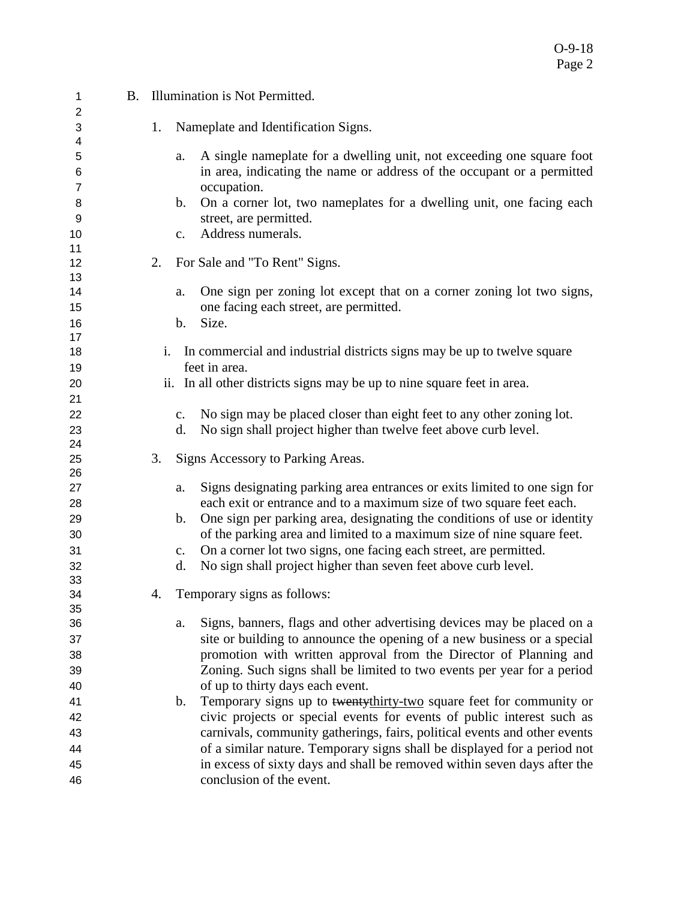| 1              |    | B. Illumination is Not Permitted.                                                          |
|----------------|----|--------------------------------------------------------------------------------------------|
| 2<br>3         | 1. | Nameplate and Identification Signs.                                                        |
| 4              |    |                                                                                            |
| 5              |    | A single nameplate for a dwelling unit, not exceeding one square foot<br>a.                |
| 6              |    | in area, indicating the name or address of the occupant or a permitted                     |
| $\overline{7}$ |    | occupation.                                                                                |
| 8              |    | On a corner lot, two nameplates for a dwelling unit, one facing each<br>$\mathbf{b}$ .     |
| 9              |    | street, are permitted.                                                                     |
| 10             |    | Address numerals.<br>$C_{\bullet}$                                                         |
| 11             |    |                                                                                            |
| 12             | 2. | For Sale and "To Rent" Signs.                                                              |
| 13             |    |                                                                                            |
| 14             |    | One sign per zoning lot except that on a corner zoning lot two signs,<br>a.                |
| 15             |    | one facing each street, are permitted.                                                     |
| 16<br>17       |    | Size.<br>b.                                                                                |
| 18             | i. | In commercial and industrial districts signs may be up to twelve square                    |
| 19             |    | feet in area.                                                                              |
| 20             |    | ii. In all other districts signs may be up to nine square feet in area.                    |
| 21             |    |                                                                                            |
| 22             |    | No sign may be placed closer than eight feet to any other zoning lot.<br>$C_{\bullet}$     |
| 23             |    | No sign shall project higher than twelve feet above curb level.<br>d.                      |
| 24             |    |                                                                                            |
| 25             | 3. | Signs Accessory to Parking Areas.                                                          |
| 26             |    |                                                                                            |
| 27             |    | Signs designating parking area entrances or exits limited to one sign for<br>a.            |
| 28             |    | each exit or entrance and to a maximum size of two square feet each.                       |
| 29             |    | One sign per parking area, designating the conditions of use or identity<br>$\mathbf{b}$ . |
| 30             |    | of the parking area and limited to a maximum size of nine square feet.                     |
| 31             |    | On a corner lot two signs, one facing each street, are permitted.<br>c.                    |
| 32             |    | No sign shall project higher than seven feet above curb level.<br>d.                       |
| 33             |    |                                                                                            |
| 34<br>35       | 4. | Temporary signs as follows:                                                                |
| 36             |    | Signs, banners, flags and other advertising devices may be placed on a<br>a.               |
| 37             |    | site or building to announce the opening of a new business or a special                    |
| 38             |    | promotion with written approval from the Director of Planning and                          |
| 39             |    | Zoning. Such signs shall be limited to two events per year for a period                    |
| 40             |    | of up to thirty days each event.                                                           |
| 41             |    | Temporary signs up to twentythirty-two square feet for community or<br>$\mathbf b$ .       |
| 42             |    | civic projects or special events for events of public interest such as                     |
| 43             |    | carnivals, community gatherings, fairs, political events and other events                  |
| 44             |    | of a similar nature. Temporary signs shall be displayed for a period not                   |
| 45             |    | in excess of sixty days and shall be removed within seven days after the                   |
| 46             |    | conclusion of the event.                                                                   |
|                |    |                                                                                            |